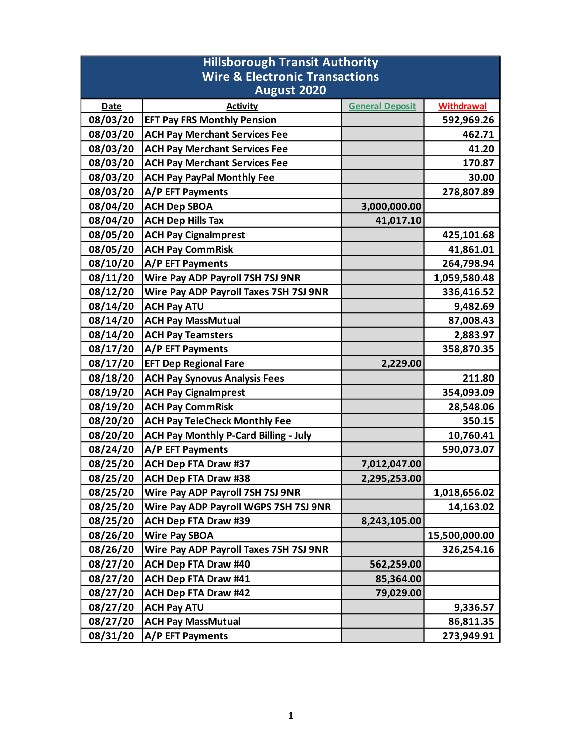| <b>Hillsborough Transit Authority</b>     |                                              |                        |                   |  |
|-------------------------------------------|----------------------------------------------|------------------------|-------------------|--|
| <b>Wire &amp; Electronic Transactions</b> |                                              |                        |                   |  |
| August 2020                               |                                              |                        |                   |  |
| <b>Date</b>                               | <b>Activity</b>                              | <b>General Deposit</b> | <b>Withdrawal</b> |  |
| 08/03/20                                  | <b>EFT Pay FRS Monthly Pension</b>           |                        | 592,969.26        |  |
| 08/03/20                                  | <b>ACH Pay Merchant Services Fee</b>         |                        | 462.71            |  |
| 08/03/20                                  | <b>ACH Pay Merchant Services Fee</b>         |                        | 41.20             |  |
| 08/03/20                                  | <b>ACH Pay Merchant Services Fee</b>         |                        | 170.87            |  |
| 08/03/20                                  | <b>ACH Pay PayPal Monthly Fee</b>            |                        | 30.00             |  |
| 08/03/20                                  | A/P EFT Payments                             |                        | 278,807.89        |  |
| 08/04/20                                  | <b>ACH Dep SBOA</b>                          | 3,000,000.00           |                   |  |
| 08/04/20                                  | <b>ACH Dep Hills Tax</b>                     | 41,017.10              |                   |  |
| 08/05/20                                  | <b>ACH Pay Cignalmprest</b>                  |                        | 425,101.68        |  |
| 08/05/20                                  | <b>ACH Pay CommRisk</b>                      |                        | 41,861.01         |  |
| 08/10/20                                  | A/P EFT Payments                             |                        | 264,798.94        |  |
| 08/11/20                                  | Wire Pay ADP Payroll 7SH 7SJ 9NR             |                        | 1,059,580.48      |  |
| 08/12/20                                  | Wire Pay ADP Payroll Taxes 7SH 7SJ 9NR       |                        | 336,416.52        |  |
| 08/14/20                                  | <b>ACH Pay ATU</b>                           |                        | 9,482.69          |  |
| 08/14/20                                  | <b>ACH Pay MassMutual</b>                    |                        | 87,008.43         |  |
| 08/14/20                                  | <b>ACH Pay Teamsters</b>                     |                        | 2,883.97          |  |
| 08/17/20                                  | A/P EFT Payments                             |                        | 358,870.35        |  |
| 08/17/20                                  | <b>EFT Dep Regional Fare</b>                 | 2,229.00               |                   |  |
| 08/18/20                                  | <b>ACH Pay Synovus Analysis Fees</b>         |                        | 211.80            |  |
| 08/19/20                                  | <b>ACH Pay Cignalmprest</b>                  |                        | 354,093.09        |  |
| 08/19/20                                  | <b>ACH Pay CommRisk</b>                      |                        | 28,548.06         |  |
| 08/20/20                                  | <b>ACH Pay TeleCheck Monthly Fee</b>         |                        | 350.15            |  |
| 08/20/20                                  | <b>ACH Pay Monthly P-Card Billing - July</b> |                        | 10,760.41         |  |
| 08/24/20                                  | A/P EFT Payments                             |                        | 590,073.07        |  |
| 08/25/20                                  | <b>ACH Dep FTA Draw #37</b>                  | 7,012,047.00           |                   |  |
| 08/25/20                                  | <b>ACH Dep FTA Draw #38</b>                  | 2,295,253.00           |                   |  |
| 08/25/20                                  | Wire Pay ADP Payroll 7SH 7SJ 9NR             |                        | 1,018,656.02      |  |
| 08/25/20                                  | Wire Pay ADP Payroll WGPS 7SH 7SJ 9NR        |                        | 14,163.02         |  |
| 08/25/20                                  | <b>ACH Dep FTA Draw #39</b>                  | 8,243,105.00           |                   |  |
| 08/26/20                                  | <b>Wire Pay SBOA</b>                         |                        | 15,500,000.00     |  |
| 08/26/20                                  | Wire Pay ADP Payroll Taxes 7SH 7SJ 9NR       |                        | 326,254.16        |  |
| 08/27/20                                  | <b>ACH Dep FTA Draw #40</b>                  | 562,259.00             |                   |  |
| 08/27/20                                  | <b>ACH Dep FTA Draw #41</b>                  | 85,364.00              |                   |  |
| 08/27/20                                  | <b>ACH Dep FTA Draw #42</b>                  | 79,029.00              |                   |  |
| 08/27/20                                  | <b>ACH Pay ATU</b>                           |                        | 9,336.57          |  |
| 08/27/20                                  | <b>ACH Pay MassMutual</b>                    |                        | 86,811.35         |  |
| 08/31/20                                  | A/P EFT Payments                             |                        | 273,949.91        |  |